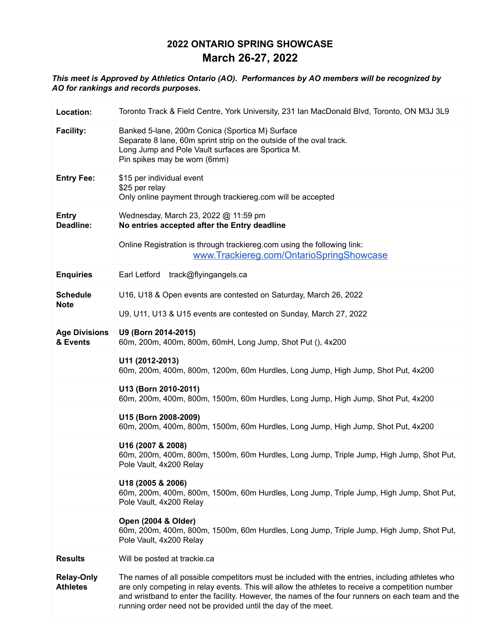# **2022 ONTARIO SPRING SHOWCASE March 26-27, 2022**

#### *This meet is Approved by Athletics Ontario (AO). Performances by AO members will be recognized by AO for rankings and records purposes.*

| Location:                            | Toronto Track & Field Centre, York University, 231 Ian MacDonald Blvd, Toronto, ON M3J 3L9                                                                                                                                                                                                                                                                               |
|--------------------------------------|--------------------------------------------------------------------------------------------------------------------------------------------------------------------------------------------------------------------------------------------------------------------------------------------------------------------------------------------------------------------------|
| <b>Facility:</b>                     | Banked 5-lane, 200m Conica (Sportica M) Surface<br>Separate 8 lane, 60m sprint strip on the outside of the oval track.<br>Long Jump and Pole Vault surfaces are Sportica M.<br>Pin spikes may be worn (6mm)                                                                                                                                                              |
| <b>Entry Fee:</b>                    | \$15 per individual event<br>\$25 per relay<br>Only online payment through trackiereg.com will be accepted                                                                                                                                                                                                                                                               |
| <b>Entry</b><br>Deadline:            | Wednesday, March 23, 2022 @ 11:59 pm<br>No entries accepted after the Entry deadline                                                                                                                                                                                                                                                                                     |
|                                      | Online Registration is through trackiereg.com using the following link:<br>www.Trackiereg.com/OntarioSpringShowcase                                                                                                                                                                                                                                                      |
| <b>Enquiries</b>                     | Earl Letford track@flyingangels.ca                                                                                                                                                                                                                                                                                                                                       |
| <b>Schedule</b><br><b>Note</b>       | U16, U18 & Open events are contested on Saturday, March 26, 2022                                                                                                                                                                                                                                                                                                         |
|                                      | U9, U11, U13 & U15 events are contested on Sunday, March 27, 2022                                                                                                                                                                                                                                                                                                        |
| <b>Age Divisions</b><br>& Events     | U9 (Born 2014-2015)<br>60m, 200m, 400m, 800m, 60mH, Long Jump, Shot Put (), 4x200                                                                                                                                                                                                                                                                                        |
|                                      | U11 (2012-2013)<br>60m, 200m, 400m, 800m, 1200m, 60m Hurdles, Long Jump, High Jump, Shot Put, 4x200                                                                                                                                                                                                                                                                      |
|                                      | U13 (Born 2010-2011)<br>60m, 200m, 400m, 800m, 1500m, 60m Hurdles, Long Jump, High Jump, Shot Put, 4x200                                                                                                                                                                                                                                                                 |
|                                      | U15 (Born 2008-2009)<br>60m, 200m, 400m, 800m, 1500m, 60m Hurdles, Long Jump, High Jump, Shot Put, 4x200                                                                                                                                                                                                                                                                 |
|                                      | U16 (2007 & 2008)<br>60m, 200m, 400m, 800m, 1500m, 60m Hurdles, Long Jump, Triple Jump, High Jump, Shot Put,<br>Pole Vault, 4x200 Relay                                                                                                                                                                                                                                  |
|                                      | U18 (2005 & 2006)<br>60m, 200m, 400m, 800m, 1500m, 60m Hurdles, Long Jump, Triple Jump, High Jump, Shot Put,<br>Pole Vault, 4x200 Relay                                                                                                                                                                                                                                  |
|                                      | Open (2004 & Older)<br>60m, 200m, 400m, 800m, 1500m, 60m Hurdles, Long Jump, Triple Jump, High Jump, Shot Put,<br>Pole Vault, 4x200 Relay                                                                                                                                                                                                                                |
| <b>Results</b>                       | Will be posted at trackie.ca                                                                                                                                                                                                                                                                                                                                             |
| <b>Relay-Only</b><br><b>Athletes</b> | The names of all possible competitors must be included with the entries, including athletes who<br>are only competing in relay events. This will allow the athletes to receive a competition number<br>and wristband to enter the facility. However, the names of the four runners on each team and the<br>running order need not be provided until the day of the meet. |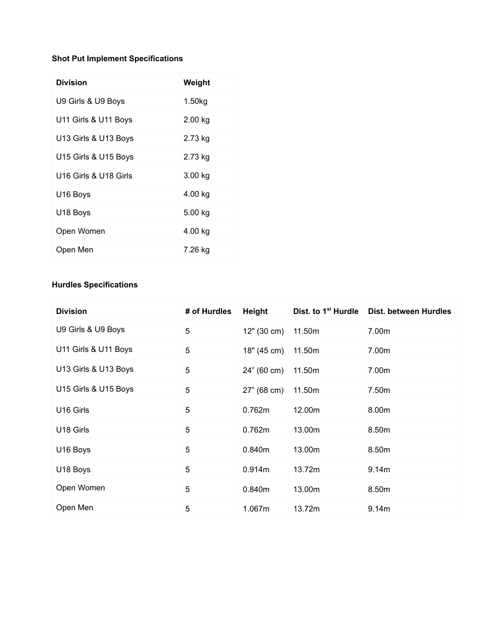### **Shot Put Implement Specifications**

| <b>Division</b>       | Weight  |
|-----------------------|---------|
| U9 Girls & U9 Boys    | 1.50kg  |
| U11 Girls & U11 Boys  | 2.00 kg |
| U13 Girls & U13 Boys  | 2.73 kg |
| U15 Girls & U15 Boys  | 2.73 kg |
| U16 Girls & U18 Girls | 3.00 kg |
| U16 Boys              | 4.00 kg |
| U18 Boys              | 5.00 kg |
| Open Women            | 4.00 kg |
| Open Men              | 7.26 kg |

### **Hurdles Specifications**

| <b>Division</b>       | # of Hurdles | Height      | Dist. to 1 <sup>st</sup> Hurdle | Dist. between Hurdles |
|-----------------------|--------------|-------------|---------------------------------|-----------------------|
| U9 Girls & U9 Boys    | 5            | 12" (30 cm) | 11.50m                          | 7.00m                 |
| U11 Girls & U11 Boys  | 5            | 18" (45 cm) | 11.50m                          | 7.00m                 |
| U13 Girls & U13 Boys  | 5            | 24" (60 cm) | 11.50m                          | 7.00m                 |
| U15 Girls & U15 Boys  | 5            | 27" (68 cm) | 11.50m                          | 7.50m                 |
| U16 Girls             | 5            | 0.762m      | 12.00m                          | 8.00m                 |
| U <sub>18</sub> Girls | 5            | 0.762m      | 13.00m                          | 8.50m                 |
| U16 Boys              | 5            | 0.840m      | 13.00m                          | 8.50m                 |
| U18 Boys              | 5            | 0.914m      | 13.72m                          | 9.14m                 |
| Open Women            | 5            | 0.840m      | 13.00m                          | 8.50m                 |
| Open Men              | 5            | 1.067m      | 13.72m                          | 9.14m                 |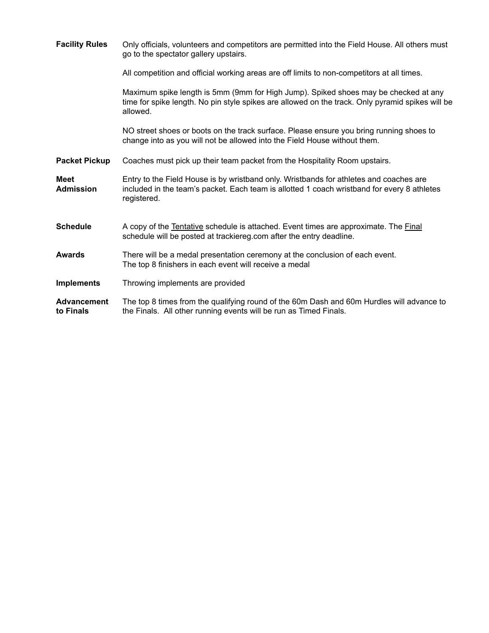| <b>Facility Rules</b>           | Only officials, volunteers and competitors are permitted into the Field House. All others must<br>go to the spectator gallery upstairs.                                                              |
|---------------------------------|------------------------------------------------------------------------------------------------------------------------------------------------------------------------------------------------------|
|                                 | All competition and official working areas are off limits to non-competitors at all times.                                                                                                           |
|                                 | Maximum spike length is 5mm (9mm for High Jump). Spiked shoes may be checked at any<br>time for spike length. No pin style spikes are allowed on the track. Only pyramid spikes will be<br>allowed.  |
|                                 | NO street shoes or boots on the track surface. Please ensure you bring running shoes to<br>change into as you will not be allowed into the Field House without them.                                 |
| <b>Packet Pickup</b>            | Coaches must pick up their team packet from the Hospitality Room upstairs.                                                                                                                           |
| <b>Meet</b><br><b>Admission</b> | Entry to the Field House is by wristband only. Wristbands for athletes and coaches are<br>included in the team's packet. Each team is allotted 1 coach wristband for every 8 athletes<br>registered. |
| <b>Schedule</b>                 | A copy of the Tentative schedule is attached. Event times are approximate. The Final<br>schedule will be posted at trackiereg.com after the entry deadline.                                          |
| <b>Awards</b>                   | There will be a medal presentation ceremony at the conclusion of each event.<br>The top 8 finishers in each event will receive a medal                                                               |
| <b>Implements</b>               | Throwing implements are provided                                                                                                                                                                     |
| <b>Advancement</b><br>to Finals | The top 8 times from the qualifying round of the 60m Dash and 60m Hurdles will advance to<br>the Finals. All other running events will be run as Timed Finals.                                       |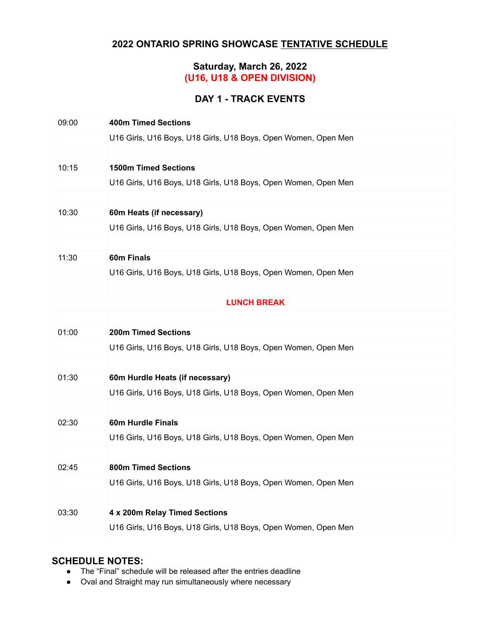## **2022 ONTARIO SPRING SHOWCASE TENTATIVE SCHEDULE**

### **Saturday, March 26, 2022 (U16, U18 & OPEN DIVISION)**

## **DAY 1 - TRACK EVENTS**

| 09:00 | <b>400m Timed Sections</b>                                     |
|-------|----------------------------------------------------------------|
|       | U16 Girls, U16 Boys, U18 Girls, U18 Boys, Open Women, Open Men |
|       |                                                                |
| 10:15 | <b>1500m Timed Sections</b>                                    |
|       | U16 Girls, U16 Boys, U18 Girls, U18 Boys, Open Women, Open Men |
|       |                                                                |
| 10:30 | 60m Heats (if necessary)                                       |
|       | U16 Girls, U16 Boys, U18 Girls, U18 Boys, Open Women, Open Men |
|       |                                                                |
| 11:30 | 60m Finals                                                     |
|       | U16 Girls, U16 Boys, U18 Girls, U18 Boys, Open Women, Open Men |
|       |                                                                |
|       | <b>LUNCH BREAK</b>                                             |
|       |                                                                |
| 01:00 | <b>200m Timed Sections</b>                                     |
|       | U16 Girls, U16 Boys, U18 Girls, U18 Boys, Open Women, Open Men |
|       |                                                                |
| 01:30 | 60m Hurdle Heats (if necessary)                                |
|       | U16 Girls, U16 Boys, U18 Girls, U18 Boys, Open Women, Open Men |
|       |                                                                |
| 02:30 | <b>60m Hurdle Finals</b>                                       |
|       | U16 Girls, U16 Boys, U18 Girls, U18 Boys, Open Women, Open Men |
|       |                                                                |
| 02:45 | <b>800m Timed Sections</b>                                     |
|       | U16 Girls, U16 Boys, U18 Girls, U18 Boys, Open Women, Open Men |
|       |                                                                |
| 03:30 | 4 x 200m Relay Timed Sections                                  |
|       | U16 Girls, U16 Boys, U18 Girls, U18 Boys, Open Women, Open Men |

- The "Final" schedule will be released after the entries deadline
- Oval and Straight may run simultaneously where necessary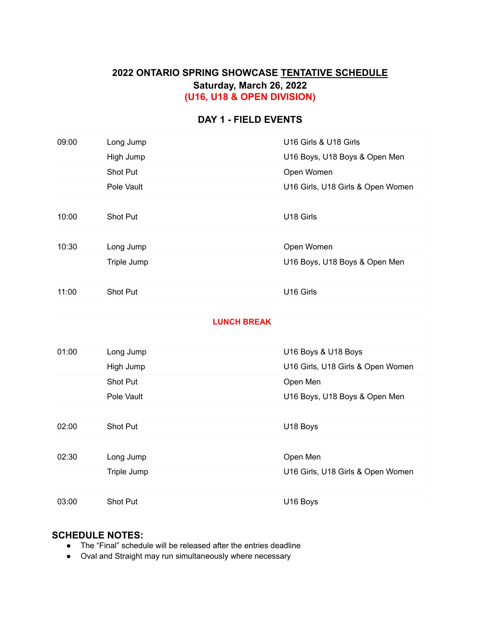### **2022 ONTARIO SPRING SHOWCASE TENTATIVE SCHEDULE Saturday, March 26, 2022 (U16, U18 & OPEN DIVISION)**

### **DAY 1 - FIELD EVENTS**

| 09:00 | Long Jump          | U16 Girls & U18 Girls             |
|-------|--------------------|-----------------------------------|
|       | High Jump          | U16 Boys, U18 Boys & Open Men     |
|       | Shot Put           | Open Women                        |
|       | Pole Vault         | U16 Girls, U18 Girls & Open Women |
|       |                    |                                   |
| 10:00 | Shot Put           | U18 Girls                         |
|       |                    |                                   |
| 10:30 | Long Jump          | Open Women                        |
|       | Triple Jump        | U16 Boys, U18 Boys & Open Men     |
|       |                    |                                   |
| 11:00 | Shot Put           | U16 Girls                         |
|       |                    |                                   |
|       | <b>LUNCH BREAK</b> |                                   |
|       |                    |                                   |
| 01:00 | Long Jump          | U16 Boys & U18 Boys               |
|       | High Jump          | U16 Girls, U18 Girls & Open Women |
|       | <b>Shot Put</b>    | Open Men                          |
|       | Pole Vault         | U16 Boys, U18 Boys & Open Men     |
|       |                    |                                   |
| 02:00 | Shot Put           | U18 Boys                          |
|       |                    |                                   |
| 02:30 | Long Jump          | Open Men                          |
|       | Triple Jump        | U16 Girls, U18 Girls & Open Women |
|       |                    |                                   |
| 03:00 | Shot Put           | U16 Boys                          |

- The "Final" schedule will be released after the entries deadline
- Oval and Straight may run simultaneously where necessary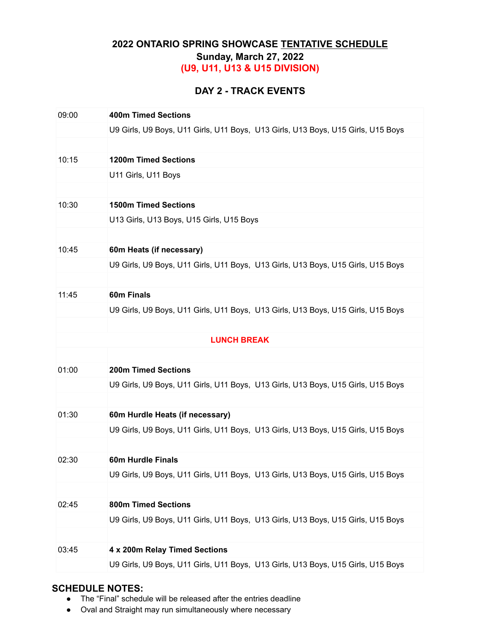## **2022 ONTARIO SPRING SHOWCASE TENTATIVE SCHEDULE Sunday, March 27, 2022 (U9, U11, U13 & U15 DIVISION)**

### **DAY 2 - TRACK EVENTS**

| 09:00 | <b>400m Timed Sections</b>                                                       |  |  |
|-------|----------------------------------------------------------------------------------|--|--|
|       |                                                                                  |  |  |
|       | U9 Girls, U9 Boys, U11 Girls, U11 Boys, U13 Girls, U13 Boys, U15 Girls, U15 Boys |  |  |
|       |                                                                                  |  |  |
| 10:15 | <b>1200m Timed Sections</b>                                                      |  |  |
|       | U11 Girls, U11 Boys                                                              |  |  |
|       |                                                                                  |  |  |
| 10:30 | <b>1500m Timed Sections</b>                                                      |  |  |
|       | U13 Girls, U13 Boys, U15 Girls, U15 Boys                                         |  |  |
|       |                                                                                  |  |  |
| 10:45 | 60m Heats (if necessary)                                                         |  |  |
|       | U9 Girls, U9 Boys, U11 Girls, U11 Boys, U13 Girls, U13 Boys, U15 Girls, U15 Boys |  |  |
|       |                                                                                  |  |  |
| 11:45 | 60m Finals                                                                       |  |  |
|       | U9 Girls, U9 Boys, U11 Girls, U11 Boys, U13 Girls, U13 Boys, U15 Girls, U15 Boys |  |  |
|       |                                                                                  |  |  |
|       | <b>LUNCH BREAK</b>                                                               |  |  |
|       |                                                                                  |  |  |
| 01:00 | <b>200m Timed Sections</b>                                                       |  |  |
|       | U9 Girls, U9 Boys, U11 Girls, U11 Boys, U13 Girls, U13 Boys, U15 Girls, U15 Boys |  |  |
|       |                                                                                  |  |  |
| 01:30 | 60m Hurdle Heats (if necessary)                                                  |  |  |
|       | U9 Girls, U9 Boys, U11 Girls, U11 Boys, U13 Girls, U13 Boys, U15 Girls, U15 Boys |  |  |
|       |                                                                                  |  |  |
|       |                                                                                  |  |  |
| 02:30 | <b>60m Hurdle Finals</b>                                                         |  |  |
|       | U9 Girls, U9 Boys, U11 Girls, U11 Boys, U13 Girls, U13 Boys, U15 Girls, U15 Boys |  |  |
|       |                                                                                  |  |  |
| 02:45 | <b>800m Timed Sections</b>                                                       |  |  |
|       | U9 Girls, U9 Boys, U11 Girls, U11 Boys, U13 Girls, U13 Boys, U15 Girls, U15 Boys |  |  |
|       |                                                                                  |  |  |
| 03:45 | 4 x 200m Relay Timed Sections                                                    |  |  |
|       | U9 Girls, U9 Boys, U11 Girls, U11 Boys, U13 Girls, U13 Boys, U15 Girls, U15 Boys |  |  |
|       |                                                                                  |  |  |

- The "Final" schedule will be released after the entries deadline
- Oval and Straight may run simultaneously where necessary